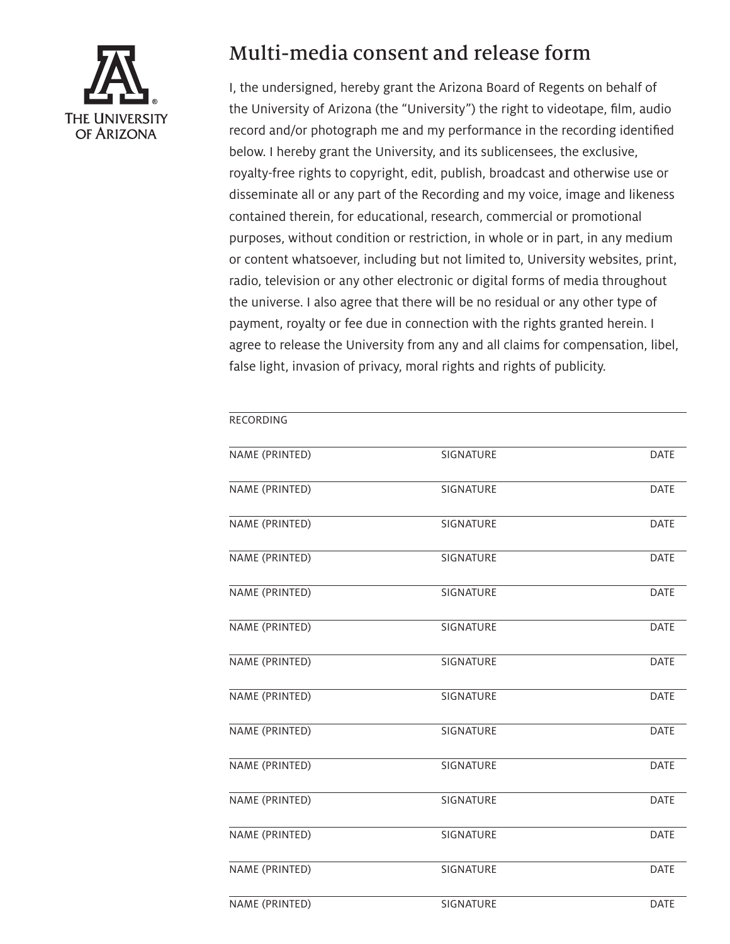

## Multi-media consent and release form

I, the undersigned, hereby grant the Arizona Board of Regents on behalf of the University of Arizona (the "University") the right to videotape, film, audio record and/or photograph me and my performance in the recording identified below. I hereby grant the University, and its sublicensees, the exclusive, royalty-free rights to copyright, edit, publish, broadcast and otherwise use or disseminate all or any part of the Recording and my voice, image and likeness contained therein, for educational, research, commercial or promotional purposes, without condition or restriction, in whole or in part, in any medium or content whatsoever, including but not limited to, University websites, print, radio, television or any other electronic or digital forms of media throughout the universe. I also agree that there will be no residual or any other type of payment, royalty or fee due in connection with the rights granted herein. I agree to release the University from any and all claims for compensation, libel, false light, invasion of privacy, moral rights and rights of publicity.

| RECORDING      |                  |             |
|----------------|------------------|-------------|
| NAME (PRINTED) | SIGNATURE        | <b>DATE</b> |
| NAME (PRINTED) | <b>SIGNATURE</b> | <b>DATE</b> |
| NAME (PRINTED) | <b>SIGNATURE</b> | <b>DATE</b> |
| NAME (PRINTED) | <b>SIGNATURE</b> | <b>DATE</b> |
| NAME (PRINTED) | SIGNATURE        | DATE        |
| NAME (PRINTED) | SIGNATURE        | <b>DATE</b> |
| NAME (PRINTED) | SIGNATURE        | <b>DATE</b> |
| NAME (PRINTED) | SIGNATURE        | <b>DATE</b> |
| NAME (PRINTED) | SIGNATURE        | <b>DATE</b> |
| NAME (PRINTED) | SIGNATURE        | <b>DATE</b> |
| NAME (PRINTED) | <b>SIGNATURE</b> | <b>DATE</b> |
| NAME (PRINTED) | SIGNATURE        | <b>DATE</b> |
| NAME (PRINTED) | SIGNATURE        | <b>DATE</b> |
| NAME (PRINTED) | <b>SIGNATURE</b> | <b>DATE</b> |